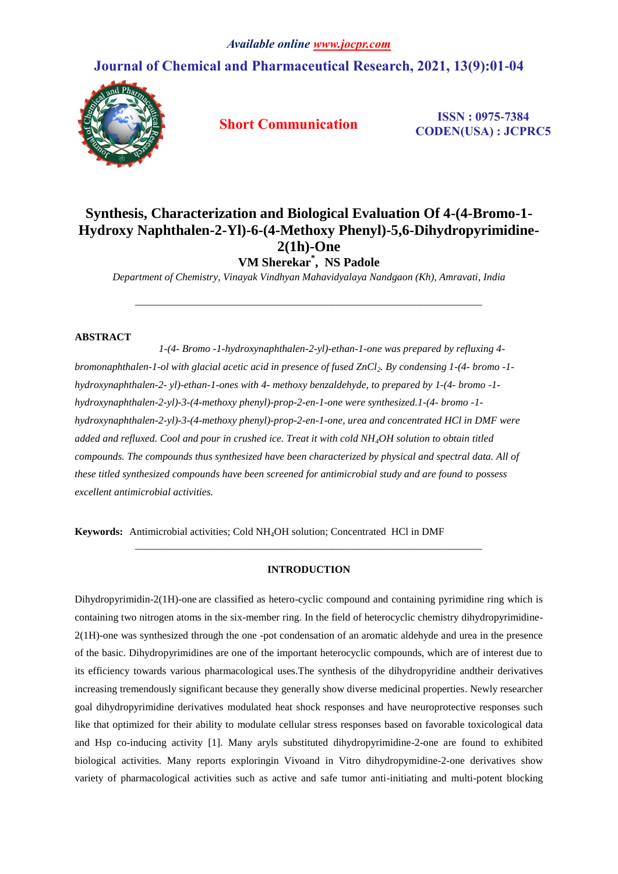# **Journal of Chemical and Pharmaceutical Research, 2021, 13(9):01-04**



**Short Communication ISSN : 0975-7384 CODEN(USA) : JCPRC5**

# **Synthesis, Characterization and Biological Evaluation Of 4-(4-Bromo-1- Hydroxy Naphthalen-2-Yl)-6-(4-Methoxy Phenyl)-5,6-Dihydropyrimidine-2(1h)-One VM Sherekar\* , NS Padole**

*Department of Chemistry, Vinayak Vindhyan Mahavidyalaya Nandgaon (Kh), Amravati, India*

*\_\_\_\_\_\_\_\_\_\_\_\_\_\_\_\_\_\_\_\_\_\_\_\_\_\_\_\_\_\_\_\_\_\_\_\_\_\_\_\_\_\_\_\_\_\_\_\_\_\_\_\_\_\_\_\_\_\_\_\_\_\_\_\_\_\_\_*

## **ABSTRACT**

 *1-(4- Bromo -1-hydroxynaphthalen-2-yl)-ethan-1-one was prepared by refluxing 4 bromonaphthalen-1-ol with glacial acetic acid in presence of fused ZnCl2. By condensing 1-(4- bromo -1 hydroxynaphthalen-2- yl)-ethan-1-ones with 4- methoxy benzaldehyde, to prepared by 1-(4- bromo -1 hydroxynaphthalen-2-yl)-3-(4-methoxy phenyl)-prop-2-en-1-one were synthesized.1-(4- bromo -1 hydroxynaphthalen-2-yl)-3-(4-methoxy phenyl)-prop-2-en-1-one, urea and concentrated HCl in DMF were added and refluxed. Cool and pour in crushed ice. Treat it with cold NH4OH solution to obtain titled compounds. The compounds thus synthesized have been characterized by physical and spectral data. All of these titled synthesized compounds have been screened for antimicrobial study and are found to possess excellent antimicrobial activities.*

**Keywords:** Antimicrobial activities; Cold NH4OH solution; Concentrated HCl in DMF

## **INTRODUCTION**

*\_\_\_\_\_\_\_\_\_\_\_\_\_\_\_\_\_\_\_\_\_\_\_\_\_\_\_\_\_\_\_\_\_\_\_\_\_\_\_\_\_\_\_\_\_\_\_\_\_\_\_\_\_\_\_\_\_\_\_\_\_\_\_\_\_\_\_*

Dihydropyrimidin-2(1H)-one are classified as hetero-cyclic compound and containing pyrimidine ring which is containing two nitrogen atoms in the six-member ring. In the field of heterocyclic chemistry dihydropyrimidine-2(1H)-one was synthesized through the one -pot condensation of an aromatic aldehyde and urea in the presence of the basic. Dihydropyrimidines are one of the important heterocyclic compounds, which are of interest due to its efficiency towards various pharmacological uses.The synthesis of the dihydropyridine andtheir derivatives increasing tremendously significant because they generally show diverse medicinal properties. Newly researcher goal dihydropyrimidine derivatives modulated heat shock responses and have neuroprotective responses such like that optimized for their ability to modulate cellular stress responses based on favorable toxicological data and Hsp co-inducing activity [1]. Many aryls substituted dihydropyrimidine-2-one are found to exhibited biological activities. Many reports exploringin Vivoand in Vitro dihydropymidine-2-one derivatives show variety of pharmacological activities such as active and safe tumor anti-initiating and multi-potent blocking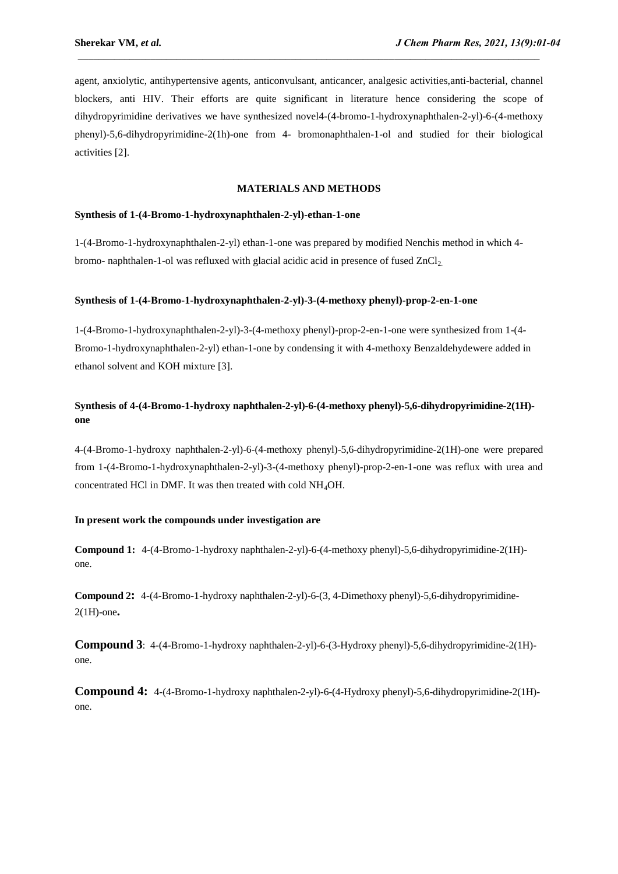agent, anxiolytic, antihypertensive agents, anticonvulsant, anticancer, analgesic activities,anti-bacterial, channel blockers, anti HIV. Their efforts are quite significant in literature hence considering the scope of dihydropyrimidine derivatives we have synthesized novel4-(4-bromo-1-hydroxynaphthalen-2-yl)-6-(4-methoxy phenyl)-5,6-dihydropyrimidine-2(1h)-one from 4- bromonaphthalen-1-ol and studied for their biological activities [2].

### **MATERIALS AND METHODS**

#### **Synthesis of 1-(4-Bromo-1-hydroxynaphthalen-2-yl)-ethan-1-one**

1-(4-Bromo-1-hydroxynaphthalen-2-yl) ethan-1-one was prepared by modified Nenchis method in which 4 bromo- naphthalen-1-ol was refluxed with glacial acidic acid in presence of fused  $ZnCl<sub>2</sub>$ .

### **Synthesis of 1-(4-Bromo-1-hydroxynaphthalen-2-yl)-3-(4-methoxy phenyl)-prop-2-en-1-one**

1-(4-Bromo-1-hydroxynaphthalen-2-yl)-3-(4-methoxy phenyl)-prop-2-en-1-one were synthesized from 1-(4- Bromo-1-hydroxynaphthalen-2-yl) ethan-1-one by condensing it with 4-methoxy Benzaldehydewere added in ethanol solvent and KOH mixture [3].

# **Synthesis of 4-(4-Bromo-1-hydroxy naphthalen-2-yl)-6-(4-methoxy phenyl)-5,6-dihydropyrimidine-2(1H) one**

4-(4-Bromo-1-hydroxy naphthalen-2-yl)-6-(4-methoxy phenyl)-5,6-dihydropyrimidine-2(1H)-one were prepared from 1-(4-Bromo-1-hydroxynaphthalen-2-yl)-3-(4-methoxy phenyl)-prop-2-en-1-one was reflux with urea and concentrated HCl in DMF. It was then treated with cold NH4OH.

#### **In present work the compounds under investigation are**

**Compound 1:** 4-(4-Bromo-1-hydroxy naphthalen-2-yl)-6-(4-methoxy phenyl)-5,6-dihydropyrimidine-2(1H) one.

**Compound 2:** 4-(4-Bromo-1-hydroxy naphthalen-2-yl)-6-(3, 4-Dimethoxy phenyl)-5,6-dihydropyrimidine-2(1H)-one**.**

**Compound 3**: 4-(4-Bromo-1-hydroxy naphthalen-2-yl)-6-(3-Hydroxy phenyl)-5,6-dihydropyrimidine-2(1H) one.

**Compound 4:** 4-(4-Bromo-1-hydroxy naphthalen-2-yl)-6-(4-Hydroxy phenyl)-5,6-dihydropyrimidine-2(1H) one.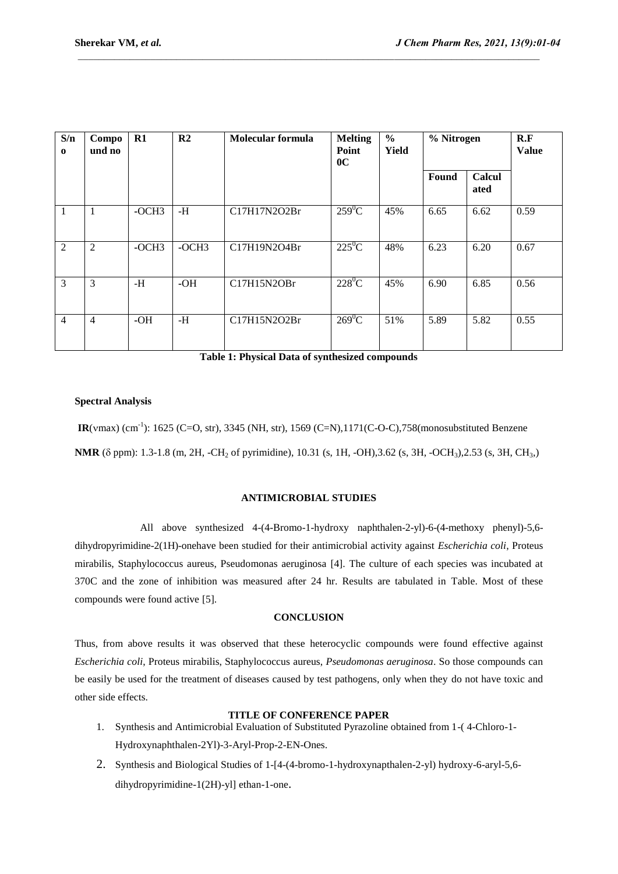| S/n<br>$\mathbf 0$ | Compo<br>und no | $R1$    | R <sub>2</sub> | Molecular formula | <b>Melting</b><br>Point<br>0 <sup>C</sup> | $\%$<br>Yield | % Nitrogen |                | R.F<br><b>Value</b> |
|--------------------|-----------------|---------|----------------|-------------------|-------------------------------------------|---------------|------------|----------------|---------------------|
|                    |                 |         |                |                   |                                           |               | Found      | Calcul<br>ated |                     |
| $\mathbf{1}$       | 1               | $-OCH3$ | $-H$           | C17H17N2O2Br      | $259^0C$                                  | 45%           | 6.65       | 6.62           | 0.59                |
| 2                  | $\overline{2}$  | $-OCH3$ | $-OCH3$        | C17H19N2O4Br      | $225^0C$                                  | 48%           | 6.23       | 6.20           | 0.67                |
| 3                  | 3               | -H      | $-OH$          | C17H15N2OBr       | $228^0C$                                  | 45%           | 6.90       | 6.85           | 0.56                |
| $\overline{4}$     | $\overline{4}$  | $-OH$   | $-H$           | C17H15N2O2Br      | $269^0C$                                  | 51%           | 5.89       | 5.82           | 0.55                |

**Table 1: Physical Data of synthesized compounds**

### **Spectral Analysis**

**IR**(vmax) (cm<sup>-1</sup>): 1625 (C=O, str), 3345 (NH, str), 1569 (C=N), 1171(C-O-C), 758(monosubstituted Benzene **NMR** (δ ppm): 1.3-1.8 (m, 2H, -CH<sub>2</sub> of pyrimidine), 10.31 (s, 1H, -OH),3.62 (s, 3H, -OCH<sub>3</sub>),2.53 (s, 3H, CH<sub>3</sub>)

### **ANTIMICROBIAL STUDIES**

 All above synthesized 4-(4-Bromo-1-hydroxy naphthalen-2-yl)-6-(4-methoxy phenyl)-5,6 dihydropyrimidine-2(1H)-onehave been studied for their antimicrobial activity against *Escherichia coli*, Proteus mirabilis, Staphylococcus aureus, Pseudomonas aeruginosa [4]. The culture of each species was incubated at 370C and the zone of inhibition was measured after 24 hr. Results are tabulated in Table. Most of these compounds were found active [5].

### **CONCLUSION**

Thus, from above results it was observed that these heterocyclic compounds were found effective against *Escherichia coli*, Proteus mirabilis, Staphylococcus aureus, *Pseudomonas aeruginosa*. So those compounds can be easily be used for the treatment of diseases caused by test pathogens, only when they do not have toxic and other side effects.

### **TITLE OF CONFERENCE PAPER**

- 1. Synthesis and Antimicrobial Evaluation of Substituted Pyrazoline obtained from 1-( 4-Chloro-1- Hydroxynaphthalen-2Yl)-3-Aryl-Prop-2-EN-Ones.
- 2. Synthesis and Biological Studies of 1-[4-(4-bromo-1-hydroxynapthalen-2-yl) hydroxy-6-aryl-5,6 dihydropyrimidine-1(2H)-yl] ethan-1-one.